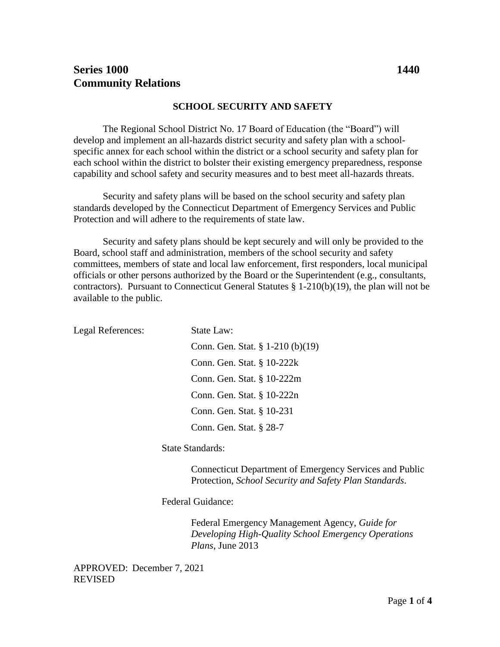# **Series 1000 1440 Community Relations**

#### **SCHOOL SECURITY AND SAFETY**

The Regional School District No. 17 Board of Education (the "Board") will develop and implement an all-hazards district security and safety plan with a schoolspecific annex for each school within the district or a school security and safety plan for each school within the district to bolster their existing emergency preparedness, response capability and school safety and security measures and to best meet all-hazards threats.

Security and safety plans will be based on the school security and safety plan standards developed by the Connecticut Department of Emergency Services and Public Protection and will adhere to the requirements of state law.

Security and safety plans should be kept securely and will only be provided to the Board, school staff and administration, members of the school security and safety committees, members of state and local law enforcement, first responders, local municipal officials or other persons authorized by the Board or the Superintendent (e.g., consultants, contractors). Pursuant to Connecticut General Statutes § 1-210(b)(19), the plan will not be available to the public.

| Legal References: | State Law:                          |
|-------------------|-------------------------------------|
|                   | Conn. Gen. Stat. $\S 1-210$ (b)(19) |
|                   | Conn. Gen. Stat. § 10-222k          |
|                   | Conn. Gen. Stat. § 10-222m          |
|                   | Conn. Gen. Stat. § 10-222n          |
|                   | Conn. Gen. Stat. § 10-231           |
|                   | Conn. Gen. Stat. § 28-7             |
|                   |                                     |

State Standards:

Connecticut Department of Emergency Services and Public Protection, *School Security and Safety Plan Standards*.

Federal Guidance:

Federal Emergency Management Agency, *Guide for Developing High-Quality School Emergency Operations Plans*, June 2013

APPROVED: December 7, 2021 REVISED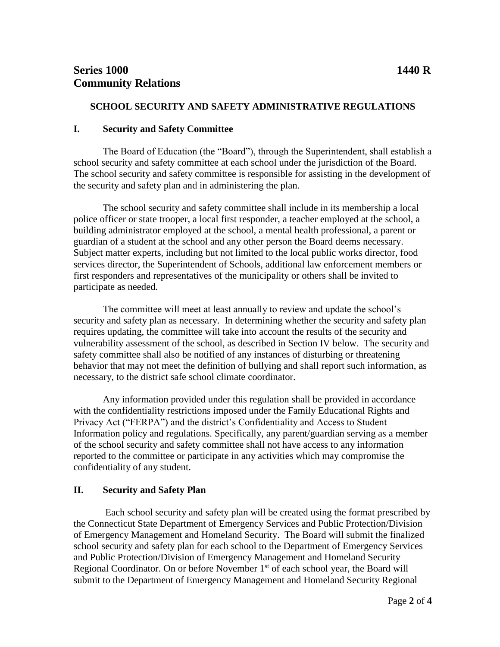### **SCHOOL SECURITY AND SAFETY ADMINISTRATIVE REGULATIONS**

#### **I. Security and Safety Committee**

The Board of Education (the "Board"), through the Superintendent, shall establish a school security and safety committee at each school under the jurisdiction of the Board. The school security and safety committee is responsible for assisting in the development of the security and safety plan and in administering the plan.

The school security and safety committee shall include in its membership a local police officer or state trooper, a local first responder, a teacher employed at the school, a building administrator employed at the school, a mental health professional, a parent or guardian of a student at the school and any other person the Board deems necessary. Subject matter experts, including but not limited to the local public works director, food services director, the Superintendent of Schools, additional law enforcement members or first responders and representatives of the municipality or others shall be invited to participate as needed.

The committee will meet at least annually to review and update the school's security and safety plan as necessary. In determining whether the security and safety plan requires updating, the committee will take into account the results of the security and vulnerability assessment of the school, as described in Section IV below. The security and safety committee shall also be notified of any instances of disturbing or threatening behavior that may not meet the definition of bullying and shall report such information, as necessary, to the district safe school climate coordinator.

Any information provided under this regulation shall be provided in accordance with the confidentiality restrictions imposed under the Family Educational Rights and Privacy Act ("FERPA") and the district's Confidentiality and Access to Student Information policy and regulations. Specifically, any parent/guardian serving as a member of the school security and safety committee shall not have access to any information reported to the committee or participate in any activities which may compromise the confidentiality of any student.

### **II. Security and Safety Plan**

Each school security and safety plan will be created using the format prescribed by the Connecticut State Department of Emergency Services and Public Protection/Division of Emergency Management and Homeland Security. The Board will submit the finalized school security and safety plan for each school to the Department of Emergency Services and Public Protection/Division of Emergency Management and Homeland Security Regional Coordinator. On or before November  $1<sup>st</sup>$  of each school year, the Board will submit to the Department of Emergency Management and Homeland Security Regional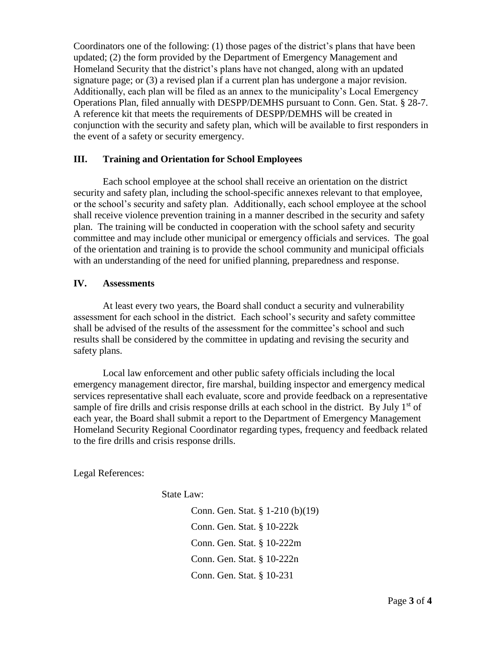Coordinators one of the following: (1) those pages of the district's plans that have been updated; (2) the form provided by the Department of Emergency Management and Homeland Security that the district's plans have not changed, along with an updated signature page; or (3) a revised plan if a current plan has undergone a major revision. Additionally, each plan will be filed as an annex to the municipality's Local Emergency Operations Plan, filed annually with DESPP/DEMHS pursuant to Conn. Gen. Stat. § 28-7. A reference kit that meets the requirements of DESPP/DEMHS will be created in conjunction with the security and safety plan, which will be available to first responders in the event of a safety or security emergency.

### **III. Training and Orientation for School Employees**

Each school employee at the school shall receive an orientation on the district security and safety plan, including the school-specific annexes relevant to that employee, or the school's security and safety plan. Additionally, each school employee at the school shall receive violence prevention training in a manner described in the security and safety plan. The training will be conducted in cooperation with the school safety and security committee and may include other municipal or emergency officials and services. The goal of the orientation and training is to provide the school community and municipal officials with an understanding of the need for unified planning, preparedness and response.

## **IV. Assessments**

At least every two years, the Board shall conduct a security and vulnerability assessment for each school in the district. Each school's security and safety committee shall be advised of the results of the assessment for the committee's school and such results shall be considered by the committee in updating and revising the security and safety plans.

Local law enforcement and other public safety officials including the local emergency management director, fire marshal, building inspector and emergency medical services representative shall each evaluate, score and provide feedback on a representative sample of fire drills and crisis response drills at each school in the district. By July  $1<sup>st</sup>$  of each year, the Board shall submit a report to the Department of Emergency Management Homeland Security Regional Coordinator regarding types, frequency and feedback related to the fire drills and crisis response drills.

Legal References:

State Law:

Conn. Gen. Stat. § 1-210 (b)(19) Conn. Gen. Stat. § 10-222k Conn. Gen. Stat. § 10-222m Conn. Gen. Stat. § 10-222n Conn. Gen. Stat. § 10-231